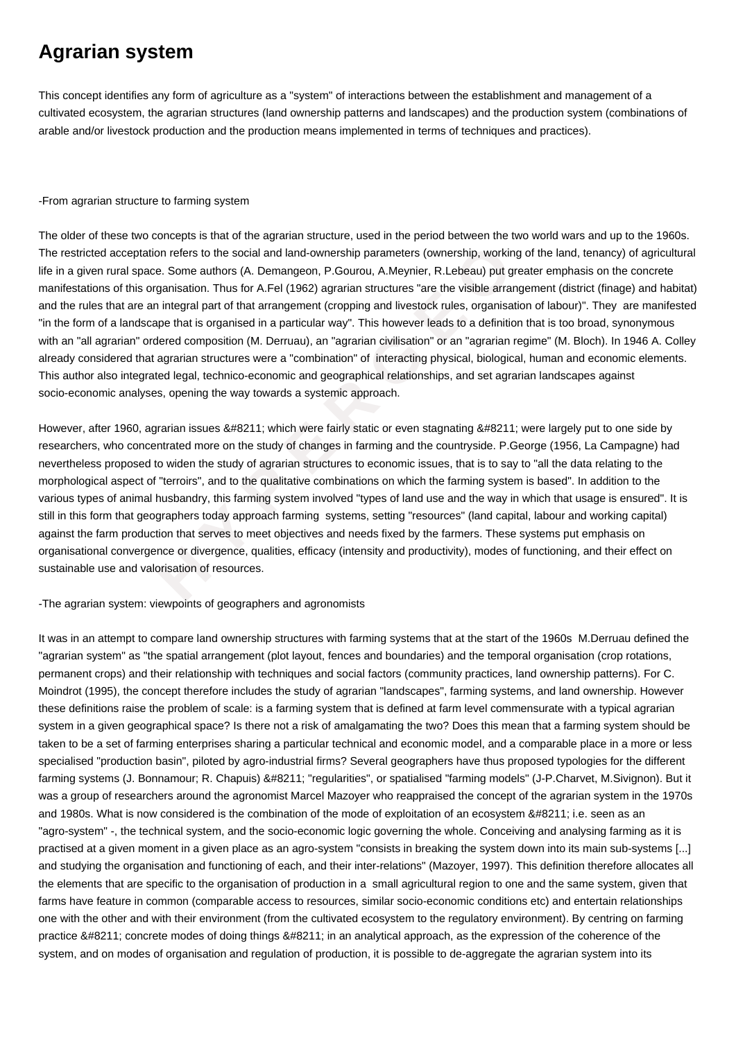# **Agrarian system**

This concept identifies any form of agriculture as a "system" of interactions between the establishment and management of a cultivated ecosystem, the agrarian structures (land ownership patterns and landscapes) and the production system (combinations of arable and/or livestock production and the production means implemented in terms of techniques and practices).

### -From agrarian structure to farming system

ceptation refers to the social and land-ownership parameters (ownership, working or space. Some authors (A. Demangeon, P.Gourou, A.Meynier, R.Lebsau) put great this organisation. Thus for A.Fel (1962) agrarian structures " The older of these two concepts is that of the agrarian structure, used in the period between the two world wars and up to the 1960s. The restricted acceptation refers to the social and land-ownership parameters (ownership, working of the land, tenancy) of agricultural life in a given rural space. Some authors (A. Demangeon, P.Gourou, A.Meynier, R.Lebeau) put greater emphasis on the concrete manifestations of this organisation. Thus for A.Fel (1962) agrarian structures "are the visible arrangement (district (finage) and habitat) and the rules that are an integral part of that arrangement (cropping and livestock rules, organisation of labour)". They are manifested "in the form of a landscape that is organised in a particular way". This however leads to a definition that is too broad, synonymous with an "all agrarian" ordered composition (M. Derruau), an "agrarian civilisation" or an "agrarian regime" (M. Bloch). In 1946 A. Colley already considered that agrarian structures were a "combination" of interacting physical, biological, human and economic elements. This author also integrated legal, technico-economic and geographical relationships, and set agrarian landscapes against socio-economic analyses, opening the way towards a systemic approach.

However, after 1960, agrarian issues – which were fairly static or even stagnating – were largely put to one side by researchers, who concentrated more on the study of changes in farming and the countryside. P.George (1956, La Campagne) had nevertheless proposed to widen the study of agrarian structures to economic issues, that is to say to "all the data relating to the morphological aspect of "terroirs", and to the qualitative combinations on which the farming system is based". In addition to the various types of animal husbandry, this farming system involved "types of land use and the way in which that usage is ensured". It is still in this form that geographers today approach farming systems, setting "resources" (land capital, labour and working capital) against the farm production that serves to meet objectives and needs fixed by the farmers. These systems put emphasis on organisational convergence or divergence, qualities, efficacy (intensity and productivity), modes of functioning, and their effect on sustainable use and valorisation of resources.

## -The agrarian system: viewpoints of geographers and agronomists

It was in an attempt to compare land ownership structures with farming systems that at the start of the 1960s M.Derruau defined the "agrarian system" as "the spatial arrangement (plot layout, fences and boundaries) and the temporal organisation (crop rotations, permanent crops) and their relationship with techniques and social factors (community practices, land ownership patterns). For C. Moindrot (1995), the concept therefore includes the study of agrarian "landscapes", farming systems, and land ownership. However these definitions raise the problem of scale: is a farming system that is defined at farm level commensurate with a typical agrarian system in a given geographical space? Is there not a risk of amalgamating the two? Does this mean that a farming system should be taken to be a set of farming enterprises sharing a particular technical and economic model, and a comparable place in a more or less specialised "production basin", piloted by agro-industrial firms? Several geographers have thus proposed typologies for the different farming systems (J. Bonnamour; R. Chapuis) – "regularities", or spatialised "farming models" (J-P.Charvet, M.Sivignon). But it was a group of researchers around the agronomist Marcel Mazoyer who reappraised the concept of the agrarian system in the 1970s and 1980s. What is now considered is the combination of the mode of exploitation of an ecosystem – i.e. seen as an "agro-system" -, the technical system, and the socio-economic logic governing the whole. Conceiving and analysing farming as it is practised at a given moment in a given place as an agro-system "consists in breaking the system down into its main sub-systems [...] and studying the organisation and functioning of each, and their inter-relations" (Mazoyer, 1997). This definition therefore allocates all the elements that are specific to the organisation of production in a small agricultural region to one and the same system, given that farms have feature in common (comparable access to resources, similar socio-economic conditions etc) and entertain relationships one with the other and with their environment (from the cultivated ecosystem to the regulatory environment). By centring on farming practice – concrete modes of doing things – in an analytical approach, as the expression of the coherence of the system, and on modes of organisation and regulation of production, it is possible to de-aggregate the agrarian system into its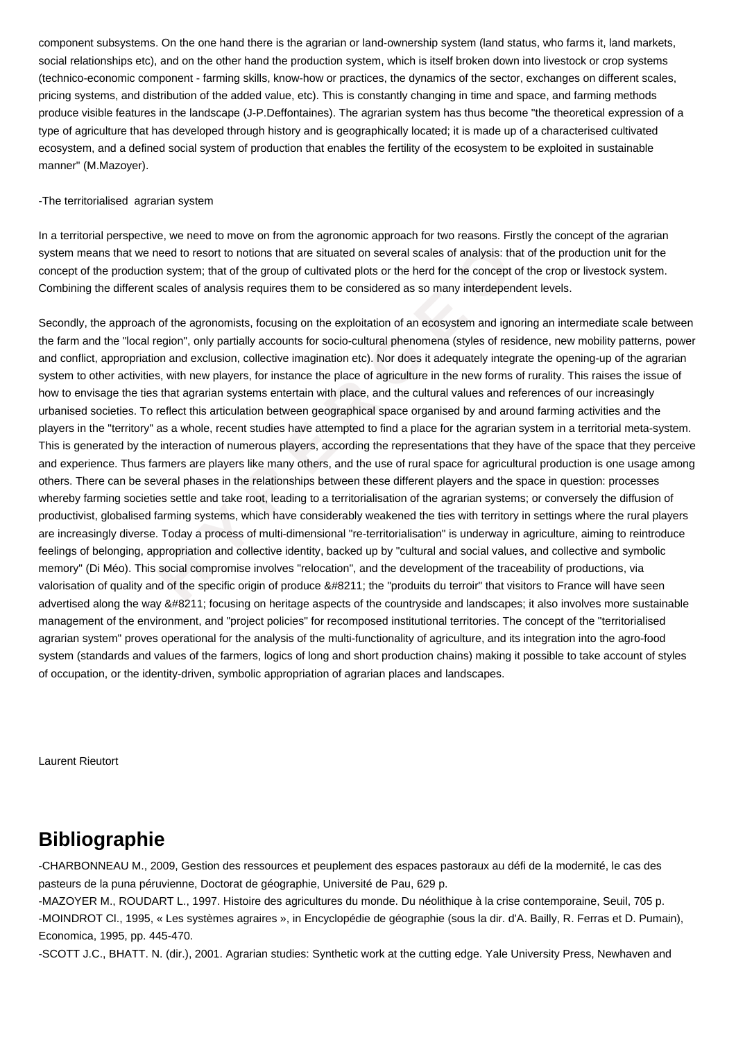component subsystems. On the one hand there is the agrarian or land-ownership system (land status, who farms it, land markets, social relationships etc), and on the other hand the production system, which is itself broken down into livestock or crop systems (technico-economic component - farming skills, know-how or practices, the dynamics of the sector, exchanges on different scales, pricing systems, and distribution of the added value, etc). This is constantly changing in time and space, and farming methods produce visible features in the landscape (J-P.Deffontaines). The agrarian system has thus become "the theoretical expression of a type of agriculture that has developed through history and is geographically located; it is made up of a characterised cultivated ecosystem, and a defined social system of production that enables the fertility of the ecosystem to be exploited in sustainable manner" (M.Mazoyer).

### -The territorialised agrarian system

In a territorial perspective, we need to move on from the agronomic approach for two reasons. Firstly the concept of the agrarian system means that we need to resort to notions that are situated on several scales of analysis: that of the production unit for the concept of the production system; that of the group of cultivated plots or the herd for the concept of the crop or livestock system. Combining the different scales of analysis requires them to be considered as so many interdependent levels.

at we need to resort to notions that are situated on several scales of analysis: that oduction system; that of the group of cultivated plots or the herd for the concept of the ferent scales of analysis requires them to be Secondly, the approach of the agronomists, focusing on the exploitation of an ecosystem and ignoring an intermediate scale between the farm and the "local region", only partially accounts for socio-cultural phenomena (styles of residence, new mobility patterns, power and conflict, appropriation and exclusion, collective imagination etc). Nor does it adequately integrate the opening-up of the agrarian system to other activities, with new players, for instance the place of agriculture in the new forms of rurality. This raises the issue of how to envisage the ties that agrarian systems entertain with place, and the cultural values and references of our increasingly urbanised societies. To reflect this articulation between geographical space organised by and around farming activities and the players in the "territory" as a whole, recent studies have attempted to find a place for the agrarian system in a territorial meta-system. This is generated by the interaction of numerous players, according the representations that they have of the space that they perceive and experience. Thus farmers are players like many others, and the use of rural space for agricultural production is one usage among others. There can be several phases in the relationships between these different players and the space in question: processes whereby farming societies settle and take root, leading to a territorialisation of the agrarian systems; or conversely the diffusion of productivist, globalised farming systems, which have considerably weakened the ties with territory in settings where the rural players are increasingly diverse. Today a process of multi-dimensional "re-territorialisation" is underway in agriculture, aiming to reintroduce feelings of belonging, appropriation and collective identity, backed up by "cultural and social values, and collective and symbolic memory" (Di Méo). This social compromise involves "relocation", and the development of the traceability of productions, via valorisation of quality and of the specific origin of produce – the "produits du terroir" that visitors to France will have seen advertised along the way – focusing on heritage aspects of the countryside and landscapes; it also involves more sustainable management of the environment, and "project policies" for recomposed institutional territories. The concept of the "territorialised agrarian system" proves operational for the analysis of the multi-functionality of agriculture, and its integration into the agro-food system (standards and values of the farmers, logics of long and short production chains) making it possible to take account of styles of occupation, or the identity-driven, symbolic appropriation of agrarian places and landscapes.

Laurent Rieutort

## **Bibliographie**

-CHARBONNEAU M., 2009, Gestion des ressources et peuplement des espaces pastoraux au défi de la modernité, le cas des pasteurs de la puna péruvienne, Doctorat de géographie, Université de Pau, 629 p.

-MAZOYER M., ROUDART L., 1997. Histoire des agricultures du monde. Du néolithique à la crise contemporaine, Seuil, 705 p. -MOINDROT Cl., 1995, « Les systèmes agraires », in Encyclopédie de géographie (sous la dir. d'A. Bailly, R. Ferras et D. Pumain), Economica, 1995, pp. 445-470.

-SCOTT J.C., BHATT. N. (dir.), 2001. Agrarian studies: Synthetic work at the cutting edge. Yale University Press, Newhaven and